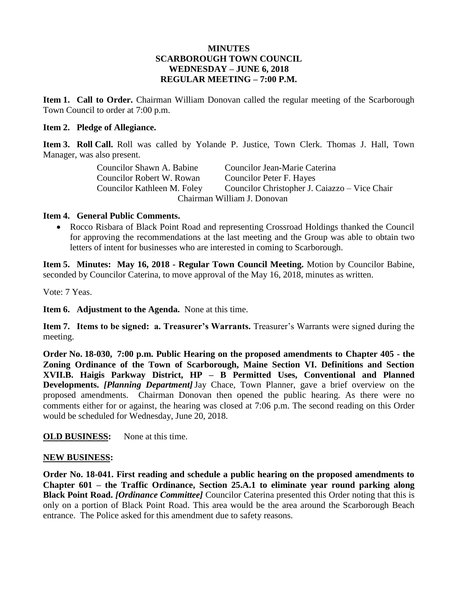### **MINUTES SCARBOROUGH TOWN COUNCIL WEDNESDAY – JUNE 6, 2018 REGULAR MEETING – 7:00 P.M.**

**Item 1. Call to Order.** Chairman William Donovan called the regular meeting of the Scarborough Town Council to order at 7:00 p.m.

#### **Item 2. Pledge of Allegiance.**

**Item 3. Roll Call.** Roll was called by Yolande P. Justice, Town Clerk. Thomas J. Hall, Town Manager, was also present.

| Councilor Shawn A. Babine   | Councilor Jean-Marie Caterina                 |
|-----------------------------|-----------------------------------------------|
| Councilor Robert W. Rowan   | Councilor Peter F. Hayes                      |
| Councilor Kathleen M. Foley | Councilor Christopher J. Caiazzo – Vice Chair |
|                             | Chairman William J. Donovan                   |

### **Item 4. General Public Comments.**

 Rocco Risbara of Black Point Road and representing Crossroad Holdings thanked the Council for approving the recommendations at the last meeting and the Group was able to obtain two letters of intent for businesses who are interested in coming to Scarborough.

**Item 5. Minutes: May 16, 2018 - Regular Town Council Meeting.** Motion by Councilor Babine, seconded by Councilor Caterina, to move approval of the May 16, 2018, minutes as written.

Vote: 7 Yeas.

**Item 6. Adjustment to the Agenda.** None at this time.

**Item 7. Items to be signed: a. Treasurer's Warrants.** Treasurer's Warrants were signed during the meeting.

**Order No. 18-030, 7:00 p.m. Public Hearing on the proposed amendments to Chapter 405 - the Zoning Ordinance of the Town of Scarborough, Maine Section VI. Definitions and Section XVII.B. Haigis Parkway District, HP – B Permitted Uses, Conventional and Planned Developments.** *[Planning Department]*Jay Chace, Town Planner, gave a brief overview on the proposed amendments. Chairman Donovan then opened the public hearing. As there were no comments either for or against, the hearing was closed at 7:06 p.m. The second reading on this Order would be scheduled for Wednesday, June 20, 2018.

**OLD BUSINESS:** None at this time.

### **NEW BUSINESS:**

**Order No. 18-041. First reading and schedule a public hearing on the proposed amendments to Chapter 601 – the Traffic Ordinance, Section 25.A.1 to eliminate year round parking along Black Point Road.** *[Ordinance Committee]* Councilor Caterina presented this Order noting that this is only on a portion of Black Point Road. This area would be the area around the Scarborough Beach entrance. The Police asked for this amendment due to safety reasons.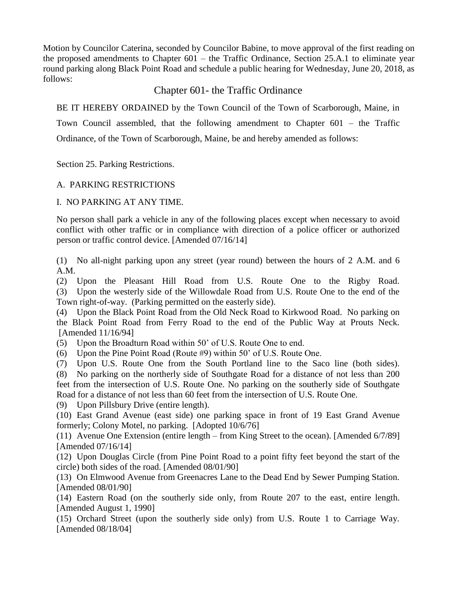Motion by Councilor Caterina, seconded by Councilor Babine, to move approval of the first reading on the proposed amendments to Chapter 601 – the Traffic Ordinance, Section 25.A.1 to eliminate year round parking along Black Point Road and schedule a public hearing for Wednesday, June 20, 2018, as follows:

# Chapter 601- the Traffic Ordinance

BE IT HEREBY ORDAINED by the Town Council of the Town of Scarborough, Maine, in

Town Council assembled, that the following amendment to Chapter 601 – the Traffic Ordinance, of the Town of Scarborough, Maine, be and hereby amended as follows:

Section 25. Parking Restrictions.

## A. PARKING RESTRICTIONS

### I. NO PARKING AT ANY TIME.

No person shall park a vehicle in any of the following places except when necessary to avoid conflict with other traffic or in compliance with direction of a police officer or authorized person or traffic control device. [Amended 07/16/14]

(1) No all-night parking upon any street (year round) between the hours of 2 A.M. and 6 A.M.

(2) Upon the Pleasant Hill Road from U.S. Route One to the Rigby Road. (3) Upon the westerly side of the Willowdale Road from U.S. Route One to the end of the Town right-of-way. (Parking permitted on the easterly side).

(4) Upon the Black Point Road from the Old Neck Road to Kirkwood Road. No parking on the Black Point Road from Ferry Road to the end of the Public Way at Prouts Neck. [Amended 11/16/94]

(5) Upon the Broadturn Road within 50' of U.S. Route One to end.

(6) Upon the Pine Point Road (Route #9) within 50' of U.S. Route One.

(7) Upon U.S. Route One from the South Portland line to the Saco line (both sides).

(8) No parking on the northerly side of Southgate Road for a distance of not less than 200 feet from the intersection of U.S. Route One. No parking on the southerly side of Southgate Road for a distance of not less than 60 feet from the intersection of U.S. Route One.

(9) Upon Pillsbury Drive (entire length).

(10) East Grand Avenue (east side) one parking space in front of 19 East Grand Avenue formerly; Colony Motel, no parking. [Adopted 10/6/76]

(11) Avenue One Extension (entire length – from King Street to the ocean). [Amended 6/7/89] [Amended 07/16/14]

(12) Upon Douglas Circle (from Pine Point Road to a point fifty feet beyond the start of the circle) both sides of the road. [Amended 08/01/90]

(13) On Elmwood Avenue from Greenacres Lane to the Dead End by Sewer Pumping Station. [Amended 08/01/90]

(14) Eastern Road (on the southerly side only, from Route 207 to the east, entire length. [Amended August 1, 1990]

(15) Orchard Street (upon the southerly side only) from U.S. Route 1 to Carriage Way. [Amended 08/18/04]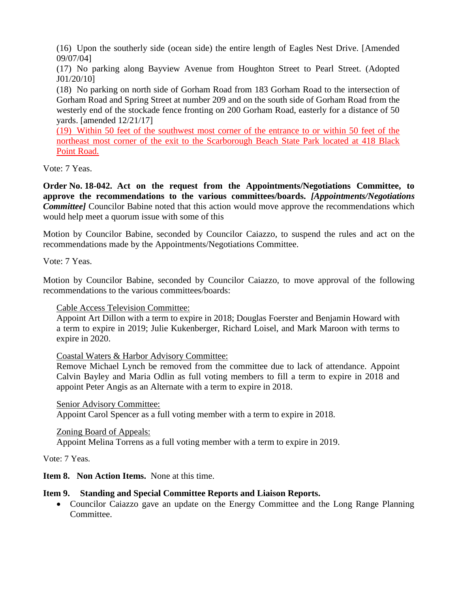(16) Upon the southerly side (ocean side) the entire length of Eagles Nest Drive. [Amended 09/07/04]

(17) No parking along Bayview Avenue from Houghton Street to Pearl Street. (Adopted J01/20/10]

(18) No parking on north side of Gorham Road from 183 Gorham Road to the intersection of Gorham Road and Spring Street at number 209 and on the south side of Gorham Road from the westerly end of the stockade fence fronting on 200 Gorham Road, easterly for a distance of 50 yards. [amended 12/21/17]

(19) Within 50 feet of the southwest most corner of the entrance to or within 50 feet of the northeast most corner of the exit to the Scarborough Beach State Park located at 418 Black Point Road.

Vote: 7 Yeas.

**Order No. 18-042. Act on the request from the Appointments/Negotiations Committee, to approve the recommendations to the various committees/boards.** *[Appointments/Negotiations Committee]* Councilor Babine noted that this action would move approve the recommendations which would help meet a quorum issue with some of this

Motion by Councilor Babine, seconded by Councilor Caiazzo, to suspend the rules and act on the recommendations made by the Appointments/Negotiations Committee.

Vote: 7 Yeas.

Motion by Councilor Babine, seconded by Councilor Caiazzo, to move approval of the following recommendations to the various committees/boards:

Cable Access Television Committee:

Appoint Art Dillon with a term to expire in 2018; Douglas Foerster and Benjamin Howard with a term to expire in 2019; Julie Kukenberger, Richard Loisel, and Mark Maroon with terms to expire in 2020.

Coastal Waters & Harbor Advisory Committee:

Remove Michael Lynch be removed from the committee due to lack of attendance. Appoint Calvin Bayley and Maria Odlin as full voting members to fill a term to expire in 2018 and appoint Peter Angis as an Alternate with a term to expire in 2018.

Senior Advisory Committee:

Appoint Carol Spencer as a full voting member with a term to expire in 2018.

Zoning Board of Appeals:

Appoint Melina Torrens as a full voting member with a term to expire in 2019.

Vote: 7 Yeas.

**Item 8. Non Action Items.** None at this time.

### **Item 9. Standing and Special Committee Reports and Liaison Reports.**

• Councilor Caiazzo gave an update on the Energy Committee and the Long Range Planning Committee.